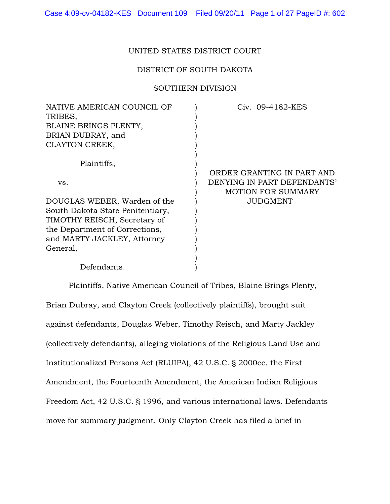## UNITED STATES DISTRICT COURT

## DISTRICT OF SOUTH DAKOTA

### SOUTHERN DIVISION

| NATIVE AMERICAN COUNCIL OF       | Civ. 09-4182-KES            |
|----------------------------------|-----------------------------|
| TRIBES,                          |                             |
| BLAINE BRINGS PLENTY,            |                             |
| BRIAN DUBRAY, and                |                             |
| CLAYTON CREEK,                   |                             |
| Plaintiffs,                      |                             |
|                                  | ORDER GRANTING IN PART AND  |
|                                  |                             |
| VS.                              | DENYING IN PART DEFENDANTS' |
|                                  | <b>MOTION FOR SUMMARY</b>   |
| DOUGLAS WEBER, Warden of the     | JUDGMENT                    |
| South Dakota State Penitentiary, |                             |
| TIMOTHY REISCH, Secretary of     |                             |
| the Department of Corrections,   |                             |
| and MARTY JACKLEY, Attorney      |                             |
| General,                         |                             |
|                                  |                             |
| Defendants.                      |                             |

Plaintiffs, Native American Council of Tribes, Blaine Brings Plenty, Brian Dubray, and Clayton Creek (collectively plaintiffs), brought suit against defendants, Douglas Weber, Timothy Reisch, and Marty Jackley (collectively defendants), alleging violations of the Religious Land Use and Institutionalized Persons Act (RLUIPA), 42 U.S.C. § 2000cc, the First Amendment, the Fourteenth Amendment, the American Indian Religious Freedom Act, 42 U.S.C. § 1996, and various international laws. Defendants move for summary judgment. Only Clayton Creek has filed a brief in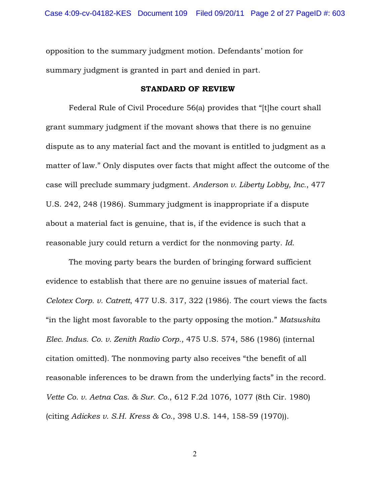opposition to the summary judgment motion. Defendants' motion for summary judgment is granted in part and denied in part.

#### STANDARD OF REVIEW

Federal Rule of Civil Procedure 56(a) provides that "[t]he court shall grant summary judgment if the movant shows that there is no genuine dispute as to any material fact and the movant is entitled to judgment as a matter of law." Only disputes over facts that might affect the outcome of the case will preclude summary judgment. *Anderson v. Liberty Lobby, Inc.*, 477 U.S. 242, 248 (1986). Summary judgment is inappropriate if a dispute about a material fact is genuine, that is, if the evidence is such that a reasonable jury could return a verdict for the nonmoving party. *Id.* 

The moving party bears the burden of bringing forward sufficient evidence to establish that there are no genuine issues of material fact. *Celotex Corp. v. Catrett*, 477 U.S. 317, 322 (1986). The court views the facts "in the light most favorable to the party opposing the motion." *Matsushita Elec. Indus. Co. v. Zenith Radio Corp.*, 475 U.S. 574, 586 (1986) (internal citation omitted). The nonmoving party also receives "the benefit of all reasonable inferences to be drawn from the underlying facts" in the record. *Vette Co. v. Aetna Cas. & Sur. Co.*, 612 F.2d 1076, 1077 (8th Cir. 1980) (citing *Adickes v. S.H. Kress & Co.*, 398 U.S. 144, 158-59 (1970)).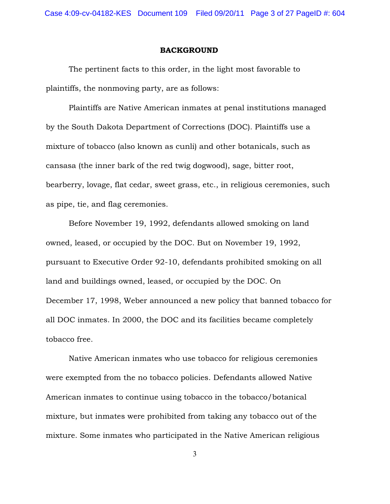#### BACKGROUND

The pertinent facts to this order, in the light most favorable to plaintiffs, the nonmoving party, are as follows:

Plaintiffs are Native American inmates at penal institutions managed by the South Dakota Department of Corrections (DOC). Plaintiffs use a mixture of tobacco (also known as cunli) and other botanicals, such as cansasa (the inner bark of the red twig dogwood), sage, bitter root, bearberry, lovage, flat cedar, sweet grass, etc., in religious ceremonies, such as pipe, tie, and flag ceremonies.

Before November 19, 1992, defendants allowed smoking on land owned, leased, or occupied by the DOC. But on November 19, 1992, pursuant to Executive Order 92-10, defendants prohibited smoking on all land and buildings owned, leased, or occupied by the DOC. On December 17, 1998, Weber announced a new policy that banned tobacco for all DOC inmates. In 2000, the DOC and its facilities became completely tobacco free.

Native American inmates who use tobacco for religious ceremonies were exempted from the no tobacco policies. Defendants allowed Native American inmates to continue using tobacco in the tobacco/botanical mixture, but inmates were prohibited from taking any tobacco out of the mixture. Some inmates who participated in the Native American religious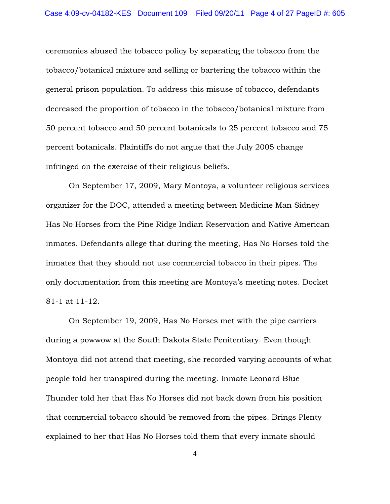ceremonies abused the tobacco policy by separating the tobacco from the tobacco/botanical mixture and selling or bartering the tobacco within the general prison population. To address this misuse of tobacco, defendants decreased the proportion of tobacco in the tobacco/botanical mixture from 50 percent tobacco and 50 percent botanicals to 25 percent tobacco and 75 percent botanicals. Plaintiffs do not argue that the July 2005 change infringed on the exercise of their religious beliefs.

On September 17, 2009, Mary Montoya, a volunteer religious services organizer for the DOC, attended a meeting between Medicine Man Sidney Has No Horses from the Pine Ridge Indian Reservation and Native American inmates. Defendants allege that during the meeting, Has No Horses told the inmates that they should not use commercial tobacco in their pipes. The only documentation from this meeting are Montoya's meeting notes. Docket 81-1 at 11-12.

On September 19, 2009, Has No Horses met with the pipe carriers during a powwow at the South Dakota State Penitentiary. Even though Montoya did not attend that meeting, she recorded varying accounts of what people told her transpired during the meeting. Inmate Leonard Blue Thunder told her that Has No Horses did not back down from his position that commercial tobacco should be removed from the pipes. Brings Plenty explained to her that Has No Horses told them that every inmate should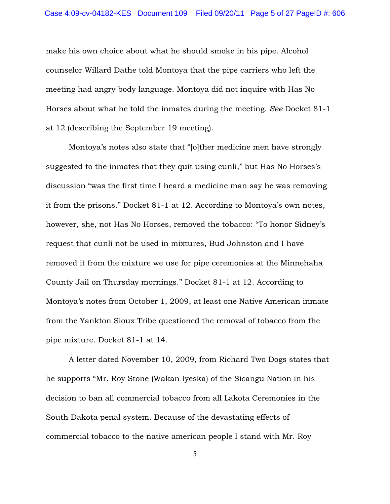make his own choice about what he should smoke in his pipe. Alcohol counselor Willard Dathe told Montoya that the pipe carriers who left the meeting had angry body language. Montoya did not inquire with Has No Horses about what he told the inmates during the meeting. *See* Docket 81-1 at 12 (describing the September 19 meeting).

Montoya's notes also state that "[o]ther medicine men have strongly suggested to the inmates that they quit using cunli," but Has No Horses's discussion "was the first time I heard a medicine man say he was removing it from the prisons." Docket 81-1 at 12. According to Montoya's own notes, however, she, not Has No Horses, removed the tobacco: "To honor Sidney's request that cunli not be used in mixtures, Bud Johnston and I have removed it from the mixture we use for pipe ceremonies at the Minnehaha County Jail on Thursday mornings." Docket 81-1 at 12. According to Montoya's notes from October 1, 2009, at least one Native American inmate from the Yankton Sioux Tribe questioned the removal of tobacco from the pipe mixture. Docket 81-1 at 14.

A letter dated November 10, 2009, from Richard Two Dogs states that he supports "Mr. Roy Stone (Wakan Iyeska) of the Sicangu Nation in his decision to ban all commercial tobacco from all Lakota Ceremonies in the South Dakota penal system. Because of the devastating effects of commercial tobacco to the native american people I stand with Mr. Roy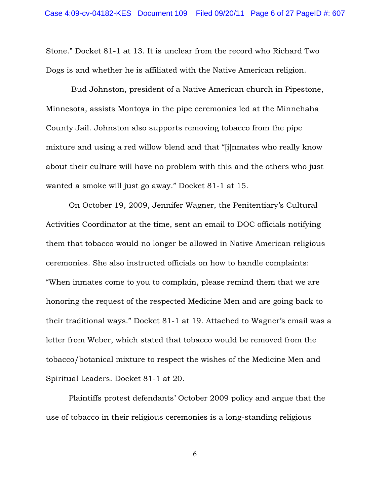Stone." Docket 81-1 at 13. It is unclear from the record who Richard Two Dogs is and whether he is affiliated with the Native American religion.

 Bud Johnston, president of a Native American church in Pipestone, Minnesota, assists Montoya in the pipe ceremonies led at the Minnehaha County Jail. Johnston also supports removing tobacco from the pipe mixture and using a red willow blend and that "[i]nmates who really know about their culture will have no problem with this and the others who just wanted a smoke will just go away." Docket 81-1 at 15.

On October 19, 2009, Jennifer Wagner, the Penitentiary's Cultural Activities Coordinator at the time, sent an email to DOC officials notifying them that tobacco would no longer be allowed in Native American religious ceremonies. She also instructed officials on how to handle complaints: "When inmates come to you to complain, please remind them that we are honoring the request of the respected Medicine Men and are going back to their traditional ways." Docket 81-1 at 19. Attached to Wagner's email was a letter from Weber, which stated that tobacco would be removed from the tobacco/botanical mixture to respect the wishes of the Medicine Men and Spiritual Leaders. Docket 81-1 at 20.

Plaintiffs protest defendants' October 2009 policy and argue that the use of tobacco in their religious ceremonies is a long-standing religious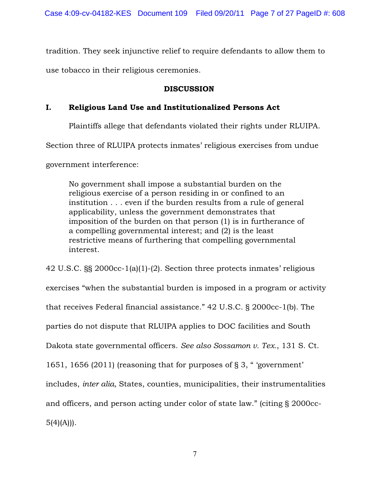tradition. They seek injunctive relief to require defendants to allow them to use tobacco in their religious ceremonies.

## DISCUSSION

## I. Religious Land Use and Institutionalized Persons Act

Plaintiffs allege that defendants violated their rights under RLUIPA.

Section three of RLUIPA protects inmates' religious exercises from undue

government interference:

No government shall impose a substantial burden on the religious exercise of a person residing in or confined to an institution . . . even if the burden results from a rule of general applicability, unless the government demonstrates that imposition of the burden on that person (1) is in furtherance of a compelling governmental interest; and (2) is the least restrictive means of furthering that compelling governmental interest.

42 U.S.C. §§ 2000cc-1(a)(1)-(2). Section three protects inmates' religious exercises "when the substantial burden is imposed in a program or activity that receives Federal financial assistance." 42 U.S.C. § 2000cc-1(b). The parties do not dispute that RLUIPA applies to DOC facilities and South Dakota state governmental officers. *See also Sossamon v. Tex.*, 131 S. Ct. 1651, 1656 (2011) (reasoning that for purposes of § 3, " 'government' includes, *inter alia*, States, counties, municipalities, their instrumentalities and officers, and person acting under color of state law." (citing § 2000cc- $5(4)(A))$ .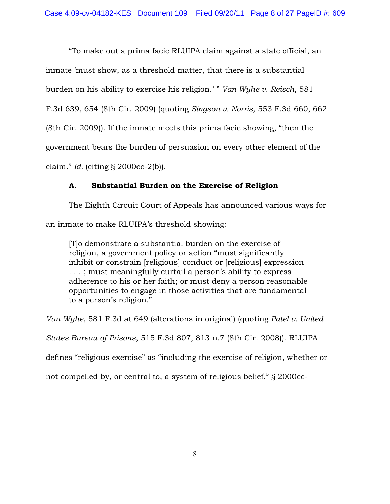"To make out a prima facie RLUIPA claim against a state official, an inmate 'must show, as a threshold matter, that there is a substantial burden on his ability to exercise his religion.' " *Van Wyhe v. Reisch*, 581 F.3d 639, 654 (8th Cir. 2009) (quoting *Singson v. Norris*, 553 F.3d 660, 662 (8th Cir. 2009)). If the inmate meets this prima facie showing, "then the government bears the burden of persuasion on every other element of the claim." *Id.* (citing § 2000cc-2(b)).

## A. Substantial Burden on the Exercise of Religion

The Eighth Circuit Court of Appeals has announced various ways for an inmate to make RLUIPA's threshold showing:

[T]o demonstrate a substantial burden on the exercise of religion, a government policy or action "must significantly inhibit or constrain [religious] conduct or [religious] expression . . . ; must meaningfully curtail a person's ability to express adherence to his or her faith; or must deny a person reasonable opportunities to engage in those activities that are fundamental to a person's religion."

*Van Wyhe*, 581 F.3d at 649 (alterations in original) (quoting *Patel v. United*

*States Bureau of Prisons*, 515 F.3d 807, 813 n.7 (8th Cir. 2008)). RLUIPA

defines "religious exercise" as "including the exercise of religion, whether or

not compelled by, or central to, a system of religious belief." § 2000cc-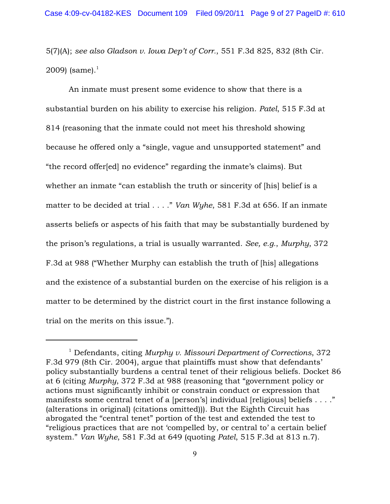5(7)(A); *see also Gladson v. Iowa Dep't of Corr.*, 551 F.3d 825, 832 (8th Cir. 2009) (same). $1$ 

An inmate must present some evidence to show that there is a substantial burden on his ability to exercise his religion. *Patel*, 515 F.3d at 814 (reasoning that the inmate could not meet his threshold showing because he offered only a "single, vague and unsupported statement" and "the record offer[ed] no evidence" regarding the inmate's claims). But whether an inmate "can establish the truth or sincerity of [his] belief is a matter to be decided at trial . . . ." *Van Wyhe*, 581 F.3d at 656. If an inmate asserts beliefs or aspects of his faith that may be substantially burdened by the prison's regulations, a trial is usually warranted. *See, e.g.*, *Murphy*, 372 F.3d at 988 ("Whether Murphy can establish the truth of [his] allegations and the existence of a substantial burden on the exercise of his religion is a matter to be determined by the district court in the first instance following a trial on the merits on this issue.").

<sup>&</sup>lt;sup>1</sup> Defendants, citing *Murphy v. Missouri Department of Corrections*, 372 F.3d 979 (8th Cir. 2004), argue that plaintiffs must show that defendants' policy substantially burdens a central tenet of their religious beliefs. Docket 86 at 6 (citing *Murphy*, 372 F.3d at 988 (reasoning that "government policy or actions must significantly inhibit or constrain conduct or expression that manifests some central tenet of a [person's] individual [religious] beliefs . . . ." (alterations in original) (citations omitted))). But the Eighth Circuit has abrogated the "central tenet" portion of the test and extended the test to "religious practices that are not 'compelled by, or central to' a certain belief system." *Van Wyhe*, 581 F.3d at 649 (quoting *Patel*, 515 F.3d at 813 n.7).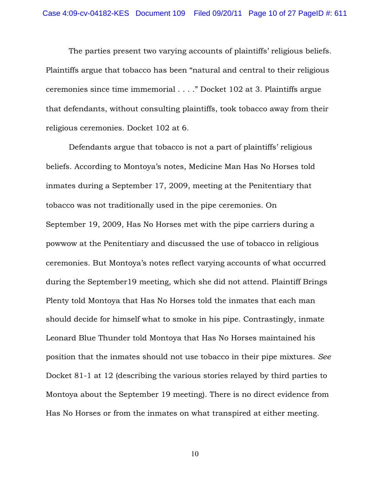The parties present two varying accounts of plaintiffs' religious beliefs. Plaintiffs argue that tobacco has been "natural and central to their religious ceremonies since time immemorial . . . ." Docket 102 at 3. Plaintiffs argue that defendants, without consulting plaintiffs, took tobacco away from their religious ceremonies. Docket 102 at 6.

Defendants argue that tobacco is not a part of plaintiffs' religious beliefs. According to Montoya's notes, Medicine Man Has No Horses told inmates during a September 17, 2009, meeting at the Penitentiary that tobacco was not traditionally used in the pipe ceremonies. On September 19, 2009, Has No Horses met with the pipe carriers during a powwow at the Penitentiary and discussed the use of tobacco in religious ceremonies. But Montoya's notes reflect varying accounts of what occurred during the September19 meeting, which she did not attend. Plaintiff Brings Plenty told Montoya that Has No Horses told the inmates that each man should decide for himself what to smoke in his pipe. Contrastingly, inmate Leonard Blue Thunder told Montoya that Has No Horses maintained his position that the inmates should not use tobacco in their pipe mixtures. *See* Docket 81-1 at 12 (describing the various stories relayed by third parties to Montoya about the September 19 meeting). There is no direct evidence from Has No Horses or from the inmates on what transpired at either meeting.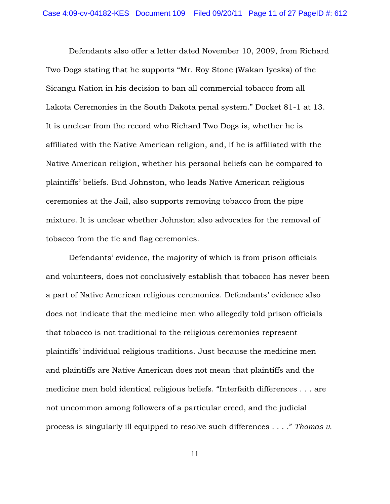Defendants also offer a letter dated November 10, 2009, from Richard Two Dogs stating that he supports "Mr. Roy Stone (Wakan Iyeska) of the Sicangu Nation in his decision to ban all commercial tobacco from all Lakota Ceremonies in the South Dakota penal system." Docket 81-1 at 13. It is unclear from the record who Richard Two Dogs is, whether he is affiliated with the Native American religion, and, if he is affiliated with the Native American religion, whether his personal beliefs can be compared to plaintiffs' beliefs. Bud Johnston, who leads Native American religious ceremonies at the Jail, also supports removing tobacco from the pipe mixture. It is unclear whether Johnston also advocates for the removal of tobacco from the tie and flag ceremonies.

Defendants' evidence, the majority of which is from prison officials and volunteers, does not conclusively establish that tobacco has never been a part of Native American religious ceremonies. Defendants' evidence also does not indicate that the medicine men who allegedly told prison officials that tobacco is not traditional to the religious ceremonies represent plaintiffs' individual religious traditions. Just because the medicine men and plaintiffs are Native American does not mean that plaintiffs and the medicine men hold identical religious beliefs. "Interfaith differences . . . are not uncommon among followers of a particular creed, and the judicial process is singularly ill equipped to resolve such differences . . . ." *Thomas v.*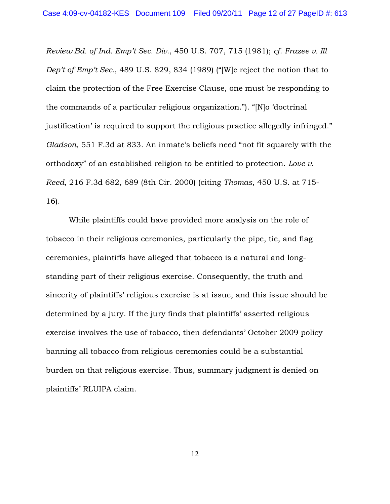*Review Bd. of Ind. Emp't Sec. Div.*, 450 U.S. 707, 715 (1981); *cf. Frazee v. Ill Dep't of Emp't Sec.*, 489 U.S. 829, 834 (1989) ("[W]e reject the notion that to claim the protection of the Free Exercise Clause, one must be responding to the commands of a particular religious organization."). "[N]o 'doctrinal justification' is required to support the religious practice allegedly infringed." *Gladson*, 551 F.3d at 833. An inmate's beliefs need "not fit squarely with the orthodoxy" of an established religion to be entitled to protection. *Love v. Reed*, 216 F.3d 682, 689 (8th Cir. 2000) (citing *Thomas*, 450 U.S. at 715- 16).

While plaintiffs could have provided more analysis on the role of tobacco in their religious ceremonies, particularly the pipe, tie, and flag ceremonies, plaintiffs have alleged that tobacco is a natural and longstanding part of their religious exercise. Consequently, the truth and sincerity of plaintiffs' religious exercise is at issue, and this issue should be determined by a jury. If the jury finds that plaintiffs' asserted religious exercise involves the use of tobacco, then defendants' October 2009 policy banning all tobacco from religious ceremonies could be a substantial burden on that religious exercise. Thus, summary judgment is denied on plaintiffs' RLUIPA claim.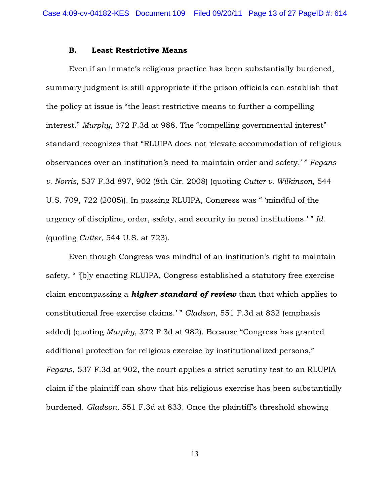#### B. Least Restrictive Means

Even if an inmate's religious practice has been substantially burdened, summary judgment is still appropriate if the prison officials can establish that the policy at issue is "the least restrictive means to further a compelling interest." *Murphy*, 372 F.3d at 988. The "compelling governmental interest" standard recognizes that "RLUIPA does not 'elevate accommodation of religious observances over an institution's need to maintain order and safety.' " *Fegans v. Norris*, 537 F.3d 897, 902 (8th Cir. 2008) (quoting *Cutter v. Wilkinson*, 544 U.S. 709, 722 (2005)). In passing RLUIPA, Congress was " 'mindful of the urgency of discipline, order, safety, and security in penal institutions.' " *Id.* (quoting *Cutter*, 544 U.S. at 723).

Even though Congress was mindful of an institution's right to maintain safety, " '[b]y enacting RLUIPA, Congress established a statutory free exercise claim encompassing a *higher standard of review* than that which applies to constitutional free exercise claims.' " *Gladson*, 551 F.3d at 832 (emphasis added) (quoting *Murphy*, 372 F.3d at 982). Because "Congress has granted additional protection for religious exercise by institutionalized persons," *Fegans*, 537 F.3d at 902, the court applies a strict scrutiny test to an RLUPIA claim if the plaintiff can show that his religious exercise has been substantially burdened. *Gladson*, 551 F.3d at 833. Once the plaintiff's threshold showing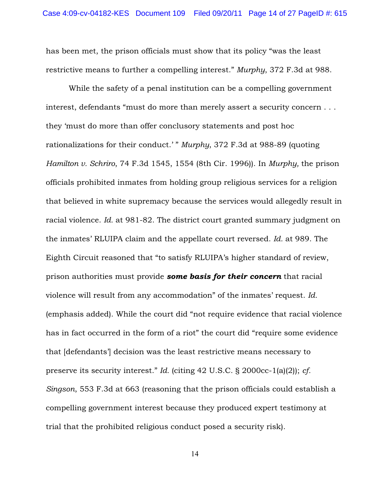has been met, the prison officials must show that its policy "was the least restrictive means to further a compelling interest." *Murphy*, 372 F.3d at 988.

While the safety of a penal institution can be a compelling government interest, defendants "must do more than merely assert a security concern . . . they 'must do more than offer conclusory statements and post hoc rationalizations for their conduct.' " *Murphy*, 372 F.3d at 988-89 (quoting *Hamilton v. Schriro*, 74 F.3d 1545, 1554 (8th Cir. 1996)). In *Murphy,* the prison officials prohibited inmates from holding group religious services for a religion that believed in white supremacy because the services would allegedly result in racial violence. *Id.* at 981-82. The district court granted summary judgment on the inmates' RLUIPA claim and the appellate court reversed. *Id.* at 989. The Eighth Circuit reasoned that "to satisfy RLUIPA's higher standard of review, prison authorities must provide *some basis for their concern* that racial violence will result from any accommodation" of the inmates' request. *Id.* (emphasis added). While the court did "not require evidence that racial violence has in fact occurred in the form of a riot" the court did "require some evidence that [defendants'] decision was the least restrictive means necessary to preserve its security interest." *Id.* (citing 42 U.S.C. § 2000cc-1(a)(2)); *cf. Singson*, 553 F.3d at 663 (reasoning that the prison officials could establish a compelling government interest because they produced expert testimony at trial that the prohibited religious conduct posed a security risk).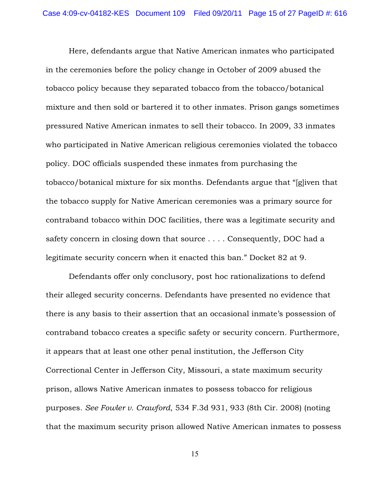Here, defendants argue that Native American inmates who participated in the ceremonies before the policy change in October of 2009 abused the tobacco policy because they separated tobacco from the tobacco/botanical mixture and then sold or bartered it to other inmates. Prison gangs sometimes pressured Native American inmates to sell their tobacco. In 2009, 33 inmates who participated in Native American religious ceremonies violated the tobacco policy. DOC officials suspended these inmates from purchasing the tobacco/botanical mixture for six months. Defendants argue that "[g]iven that the tobacco supply for Native American ceremonies was a primary source for contraband tobacco within DOC facilities, there was a legitimate security and safety concern in closing down that source . . . . Consequently, DOC had a legitimate security concern when it enacted this ban." Docket 82 at 9.

Defendants offer only conclusory, post hoc rationalizations to defend their alleged security concerns. Defendants have presented no evidence that there is any basis to their assertion that an occasional inmate's possession of contraband tobacco creates a specific safety or security concern. Furthermore, it appears that at least one other penal institution, the Jefferson City Correctional Center in Jefferson City, Missouri, a state maximum security prison, allows Native American inmates to possess tobacco for religious purposes. *See Fowler v. Crawford*, 534 F.3d 931, 933 (8th Cir. 2008) (noting that the maximum security prison allowed Native American inmates to possess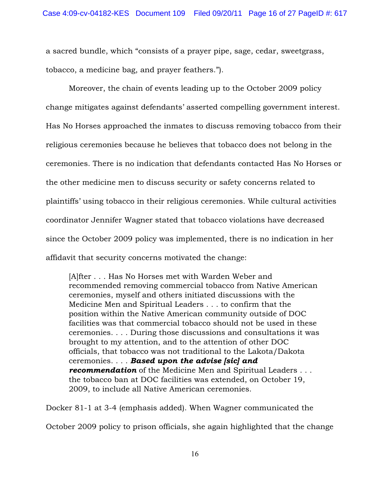a sacred bundle, which "consists of a prayer pipe, sage, cedar, sweetgrass, tobacco, a medicine bag, and prayer feathers.").

Moreover, the chain of events leading up to the October 2009 policy change mitigates against defendants' asserted compelling government interest. Has No Horses approached the inmates to discuss removing tobacco from their religious ceremonies because he believes that tobacco does not belong in the ceremonies. There is no indication that defendants contacted Has No Horses or the other medicine men to discuss security or safety concerns related to plaintiffs' using tobacco in their religious ceremonies. While cultural activities coordinator Jennifer Wagner stated that tobacco violations have decreased since the October 2009 policy was implemented, there is no indication in her affidavit that security concerns motivated the change:

[A]fter . . . Has No Horses met with Warden Weber and recommended removing commercial tobacco from Native American ceremonies, myself and others initiated discussions with the Medicine Men and Spiritual Leaders . . . to confirm that the position within the Native American community outside of DOC facilities was that commercial tobacco should not be used in these ceremonies. . . . During those discussions and consultations it was brought to my attention, and to the attention of other DOC officials, that tobacco was not traditional to the Lakota/Dakota ceremonies. . . . *Based upon the advise [sic] and recommendation* of the Medicine Men and Spiritual Leaders . . . the tobacco ban at DOC facilities was extended, on October 19, 2009, to include all Native American ceremonies.

Docker 81-1 at 3-4 (emphasis added). When Wagner communicated the

October 2009 policy to prison officials, she again highlighted that the change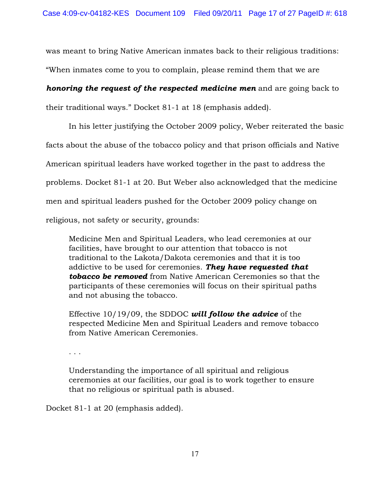was meant to bring Native American inmates back to their religious traditions: "When inmates come to you to complain, please remind them that we are

# *honoring the request of the respected medicine men* and are going back to

their traditional ways." Docket 81-1 at 18 (emphasis added).

In his letter justifying the October 2009 policy, Weber reiterated the basic facts about the abuse of the tobacco policy and that prison officials and Native American spiritual leaders have worked together in the past to address the problems. Docket 81-1 at 20. But Weber also acknowledged that the medicine men and spiritual leaders pushed for the October 2009 policy change on religious, not safety or security, grounds:

Medicine Men and Spiritual Leaders, who lead ceremonies at our facilities, have brought to our attention that tobacco is not traditional to the Lakota/Dakota ceremonies and that it is too addictive to be used for ceremonies. *They have requested that tobacco be removed* from Native American Ceremonies so that the participants of these ceremonies will focus on their spiritual paths and not abusing the tobacco.

Effective 10/19/09, the SDDOC *will follow the advice* of the respected Medicine Men and Spiritual Leaders and remove tobacco from Native American Ceremonies.

. . .

Understanding the importance of all spiritual and religious ceremonies at our facilities, our goal is to work together to ensure that no religious or spiritual path is abused.

Docket 81-1 at 20 (emphasis added).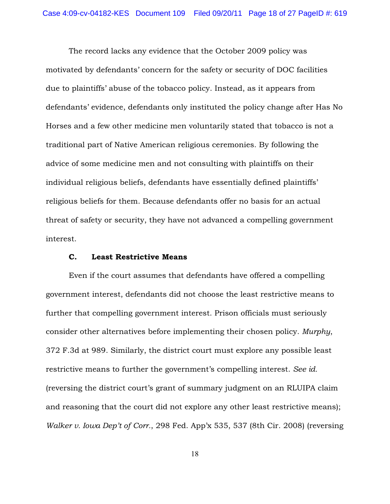The record lacks any evidence that the October 2009 policy was motivated by defendants' concern for the safety or security of DOC facilities due to plaintiffs' abuse of the tobacco policy. Instead, as it appears from defendants' evidence, defendants only instituted the policy change after Has No Horses and a few other medicine men voluntarily stated that tobacco is not a traditional part of Native American religious ceremonies. By following the advice of some medicine men and not consulting with plaintiffs on their individual religious beliefs, defendants have essentially defined plaintiffs' religious beliefs for them. Because defendants offer no basis for an actual threat of safety or security, they have not advanced a compelling government interest.

#### C. Least Restrictive Means

Even if the court assumes that defendants have offered a compelling government interest, defendants did not choose the least restrictive means to further that compelling government interest. Prison officials must seriously consider other alternatives before implementing their chosen policy. *Murphy*, 372 F.3d at 989. Similarly, the district court must explore any possible least restrictive means to further the government's compelling interest. *See id.* (reversing the district court's grant of summary judgment on an RLUIPA claim and reasoning that the court did not explore any other least restrictive means); *Walker v. Iowa Dep't of Corr.*, 298 Fed. App'x 535, 537 (8th Cir. 2008) (reversing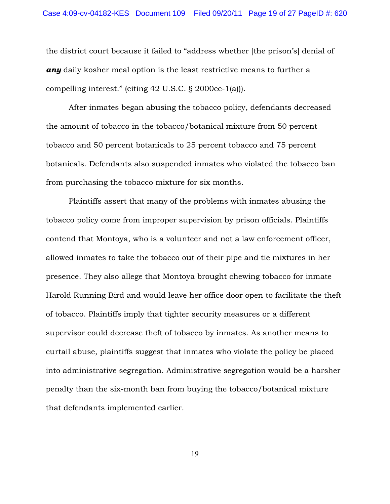the district court because it failed to "address whether [the prison's] denial of *any* daily kosher meal option is the least restrictive means to further a compelling interest." (citing 42 U.S.C. § 2000cc-1(a))).

After inmates began abusing the tobacco policy, defendants decreased the amount of tobacco in the tobacco/botanical mixture from 50 percent tobacco and 50 percent botanicals to 25 percent tobacco and 75 percent botanicals. Defendants also suspended inmates who violated the tobacco ban from purchasing the tobacco mixture for six months.

Plaintiffs assert that many of the problems with inmates abusing the tobacco policy come from improper supervision by prison officials. Plaintiffs contend that Montoya, who is a volunteer and not a law enforcement officer, allowed inmates to take the tobacco out of their pipe and tie mixtures in her presence. They also allege that Montoya brought chewing tobacco for inmate Harold Running Bird and would leave her office door open to facilitate the theft of tobacco. Plaintiffs imply that tighter security measures or a different supervisor could decrease theft of tobacco by inmates. As another means to curtail abuse, plaintiffs suggest that inmates who violate the policy be placed into administrative segregation. Administrative segregation would be a harsher penalty than the six-month ban from buying the tobacco/botanical mixture that defendants implemented earlier.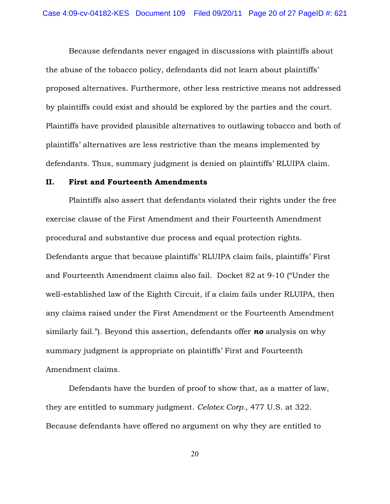Because defendants never engaged in discussions with plaintiffs about the abuse of the tobacco policy, defendants did not learn about plaintiffs' proposed alternatives. Furthermore, other less restrictive means not addressed by plaintiffs could exist and should be explored by the parties and the court. Plaintiffs have provided plausible alternatives to outlawing tobacco and both of plaintiffs' alternatives are less restrictive than the means implemented by defendants. Thus, summary judgment is denied on plaintiffs' RLUIPA claim.

### II. First and Fourteenth Amendments

Plaintiffs also assert that defendants violated their rights under the free exercise clause of the First Amendment and their Fourteenth Amendment procedural and substantive due process and equal protection rights. Defendants argue that because plaintiffs' RLUIPA claim fails, plaintiffs' First and Fourteenth Amendment claims also fail. Docket 82 at 9-10 ("Under the well-established law of the Eighth Circuit, if a claim fails under RLUIPA, then any claims raised under the First Amendment or the Fourteenth Amendment similarly fail."). Beyond this assertion, defendants offer *no* analysis on why summary judgment is appropriate on plaintiffs' First and Fourteenth Amendment claims.

Defendants have the burden of proof to show that, as a matter of law, they are entitled to summary judgment. *Celotex Corp.*, 477 U.S. at 322. Because defendants have offered no argument on why they are entitled to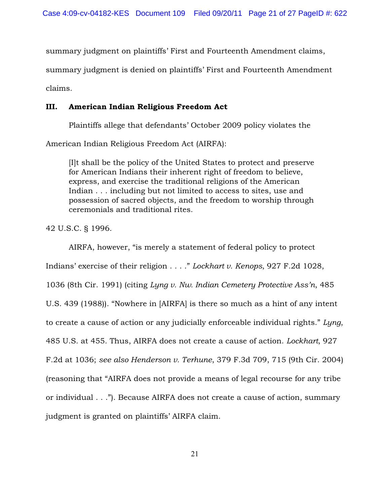summary judgment on plaintiffs' First and Fourteenth Amendment claims,

summary judgment is denied on plaintiffs' First and Fourteenth Amendment

claims.

## III. American Indian Religious Freedom Act

Plaintiffs allege that defendants' October 2009 policy violates the

American Indian Religious Freedom Act (AIRFA):

[I]t shall be the policy of the United States to protect and preserve for American Indians their inherent right of freedom to believe, express, and exercise the traditional religions of the American Indian . . . including but not limited to access to sites, use and possession of sacred objects, and the freedom to worship through ceremonials and traditional rites.

42 U.S.C. § 1996.

AIRFA, however, "is merely a statement of federal policy to protect Indians' exercise of their religion . . . ." *Lockhart v. Kenops*, 927 F.2d 1028, 1036 (8th Cir. 1991) (citing *Lyng v. Nw. Indian Cemetery Protective Ass'n*, 485 U.S. 439 (1988)). "Nowhere in [AIRFA] is there so much as a hint of any intent to create a cause of action or any judicially enforceable individual rights." *Lyng*, 485 U.S. at 455. Thus, AIRFA does not create a cause of action. *Lockhart*, 927 F.2d at 1036; *see also Henderson v. Terhune*, 379 F.3d 709, 715 (9th Cir. 2004) (reasoning that "AIRFA does not provide a means of legal recourse for any tribe or individual . . ."). Because AIRFA does not create a cause of action, summary judgment is granted on plaintiffs' AIRFA claim.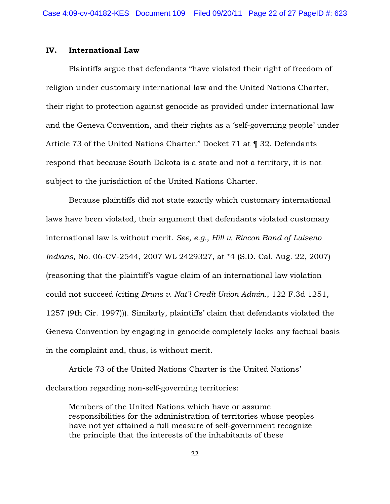### IV. International Law

Plaintiffs argue that defendants "have violated their right of freedom of religion under customary international law and the United Nations Charter, their right to protection against genocide as provided under international law and the Geneva Convention, and their rights as a 'self-governing people' under Article 73 of the United Nations Charter." Docket 71 at ¶ 32. Defendants respond that because South Dakota is a state and not a territory, it is not subject to the jurisdiction of the United Nations Charter.

Because plaintiffs did not state exactly which customary international laws have been violated, their argument that defendants violated customary international law is without merit. *See, e.g.*, *Hill v. Rincon Band of Luiseno Indians*, No. 06-CV-2544, 2007 WL 2429327, at \*4 (S.D. Cal. Aug. 22, 2007) (reasoning that the plaintiff's vague claim of an international law violation could not succeed (citing *Bruns v. Nat'l Credit Union Admin.*, 122 F.3d 1251, 1257 (9th Cir. 1997))). Similarly, plaintiffs' claim that defendants violated the Geneva Convention by engaging in genocide completely lacks any factual basis in the complaint and, thus, is without merit.

Article 73 of the United Nations Charter is the United Nations' declaration regarding non-self-governing territories:

Members of the United Nations which have or assume responsibilities for the administration of territories whose peoples have not yet attained a full measure of self-government recognize the principle that the interests of the inhabitants of these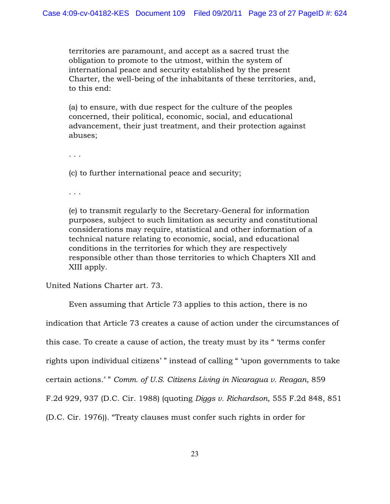territories are paramount, and accept as a sacred trust the obligation to promote to the utmost, within the system of international peace and security established by the present Charter, the well-being of the inhabitants of these territories, and, to this end:

(a) to ensure, with due respect for the culture of the peoples concerned, their political, economic, social, and educational advancement, their just treatment, and their protection against abuses;

. . .

(c) to further international peace and security;

. . .

(e) to transmit regularly to the Secretary-General for information purposes, subject to such limitation as security and constitutional considerations may require, statistical and other information of a technical nature relating to economic, social, and educational conditions in the territories for which they are respectively responsible other than those territories to which Chapters XII and XIII apply.

United Nations Charter art. 73.

Even assuming that Article 73 applies to this action, there is no

indication that Article 73 creates a cause of action under the circumstances of

this case. To create a cause of action, the treaty must by its " 'terms confer

rights upon individual citizens' " instead of calling " 'upon governments to take

certain actions.' " *Comm. of U.S. Citizens Living in Nicaragua v. Reagan*, 859

F.2d 929, 937 (D.C. Cir. 1988) (quoting *Diggs v. Richardson*, 555 F.2d 848, 851

(D.C. Cir. 1976)). "Treaty clauses must confer such rights in order for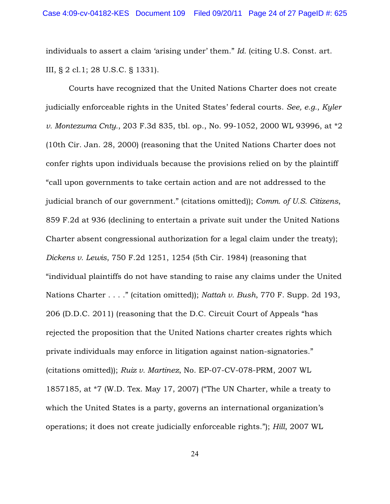individuals to assert a claim 'arising under' them." *Id.* (citing U.S. Const. art. III, § 2 cl.1; 28 U.S.C. § 1331).

Courts have recognized that the United Nations Charter does not create judicially enforceable rights in the United States' federal courts. *See, e.g.*, *Kyler v. Montezuma Cnty.*, 203 F.3d 835, tbl. op., No. 99-1052, 2000 WL 93996, at \*2 (10th Cir. Jan. 28, 2000) (reasoning that the United Nations Charter does not confer rights upon individuals because the provisions relied on by the plaintiff "call upon governments to take certain action and are not addressed to the judicial branch of our government." (citations omitted)); *Comm. of U.S. Citizens*, 859 F.2d at 936 (declining to entertain a private suit under the United Nations Charter absent congressional authorization for a legal claim under the treaty); *Dickens v. Lewis*, 750 F.2d 1251, 1254 (5th Cir. 1984) (reasoning that "individual plaintiffs do not have standing to raise any claims under the United Nations Charter . . . ." (citation omitted)); *Nattah v. Bush*, 770 F. Supp. 2d 193, 206 (D.D.C. 2011) (reasoning that the D.C. Circuit Court of Appeals "has rejected the proposition that the United Nations charter creates rights which private individuals may enforce in litigation against nation-signatories." (citations omitted)); *Ruiz v. Martinez*, No. EP-07-CV-078-PRM, 2007 WL 1857185, at \*7 (W.D. Tex. May 17, 2007) ("The UN Charter, while a treaty to which the United States is a party, governs an international organization's operations; it does not create judicially enforceable rights."); *Hill*, 2007 WL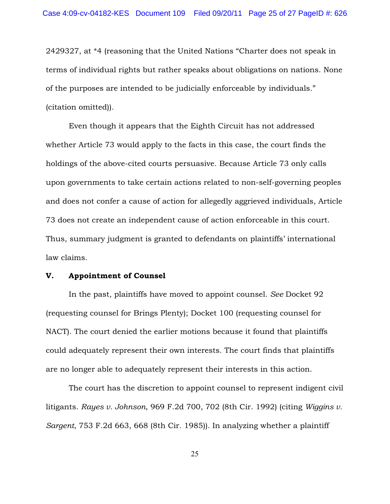2429327, at \*4 (reasoning that the United Nations "Charter does not speak in terms of individual rights but rather speaks about obligations on nations. None of the purposes are intended to be judicially enforceable by individuals." (citation omitted)).

Even though it appears that the Eighth Circuit has not addressed whether Article 73 would apply to the facts in this case, the court finds the holdings of the above-cited courts persuasive. Because Article 73 only calls upon governments to take certain actions related to non-self-governing peoples and does not confer a cause of action for allegedly aggrieved individuals, Article 73 does not create an independent cause of action enforceable in this court. Thus, summary judgment is granted to defendants on plaintiffs' international law claims.

#### V. Appointment of Counsel

In the past, plaintiffs have moved to appoint counsel. *See* Docket 92 (requesting counsel for Brings Plenty); Docket 100 (requesting counsel for NACT). The court denied the earlier motions because it found that plaintiffs could adequately represent their own interests. The court finds that plaintiffs are no longer able to adequately represent their interests in this action.

The court has the discretion to appoint counsel to represent indigent civil litigants. *Rayes v. Johnson*, 969 F.2d 700, 702 (8th Cir. 1992) (citing *Wiggins v. Sargent*, 753 F.2d 663, 668 (8th Cir. 1985)). In analyzing whether a plaintiff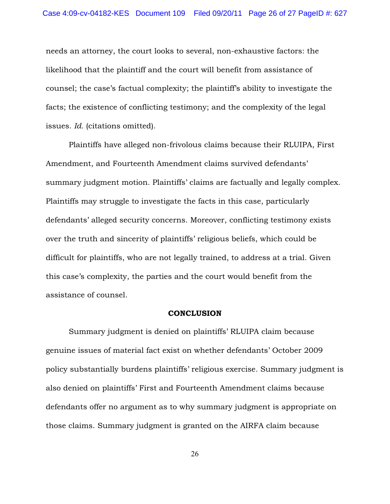needs an attorney, the court looks to several, non-exhaustive factors: the likelihood that the plaintiff and the court will benefit from assistance of counsel; the case's factual complexity; the plaintiff's ability to investigate the facts; the existence of conflicting testimony; and the complexity of the legal issues. *Id.* (citations omitted).

Plaintiffs have alleged non-frivolous claims because their RLUIPA, First Amendment, and Fourteenth Amendment claims survived defendants' summary judgment motion. Plaintiffs' claims are factually and legally complex. Plaintiffs may struggle to investigate the facts in this case, particularly defendants' alleged security concerns. Moreover, conflicting testimony exists over the truth and sincerity of plaintiffs' religious beliefs, which could be difficult for plaintiffs, who are not legally trained, to address at a trial. Given this case's complexity, the parties and the court would benefit from the assistance of counsel.

#### **CONCLUSION**

Summary judgment is denied on plaintiffs' RLUIPA claim because genuine issues of material fact exist on whether defendants' October 2009 policy substantially burdens plaintiffs' religious exercise. Summary judgment is also denied on plaintiffs' First and Fourteenth Amendment claims because defendants offer no argument as to why summary judgment is appropriate on those claims. Summary judgment is granted on the AIRFA claim because